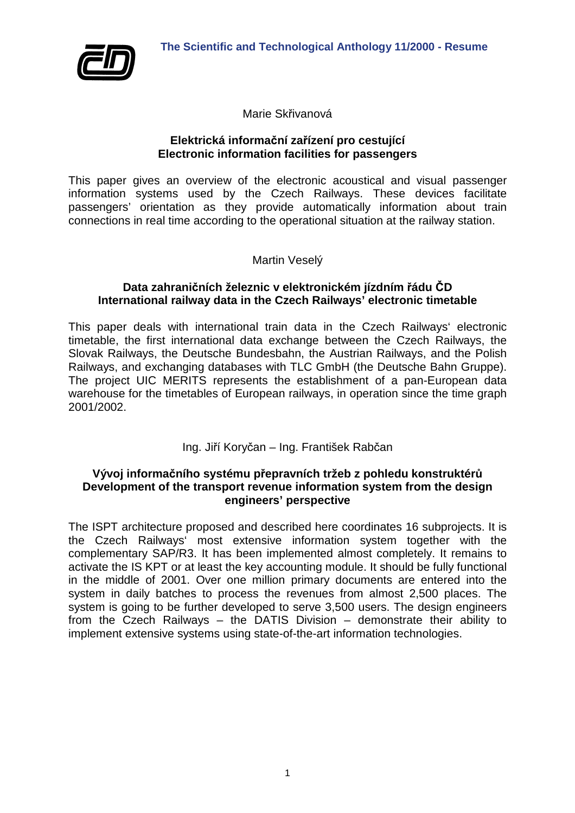

Marie Skřivanová

#### **Elektrická informační zařízení pro cestující Electronic information facilities for passengers**

This paper gives an overview of the electronic acoustical and visual passenger information systems used by the Czech Railways. These devices facilitate passengers' orientation as they provide automatically information about train connections in real time according to the operational situation at the railway station.

Martin Veselý

#### **Data zahraničních železnic v elektronickém jízdním řádu ČD International railway data in the Czech Railways' electronic timetable**

This paper deals with international train data in the Czech Railways' electronic timetable, the first international data exchange between the Czech Railways, the Slovak Railways, the Deutsche Bundesbahn, the Austrian Railways, and the Polish Railways, and exchanging databases with TLC GmbH (the Deutsche Bahn Gruppe). The project UIC MERITS represents the establishment of a pan-European data warehouse for the timetables of European railways, in operation since the time graph 2001/2002.

Ing. Jiří Koryčan – Ing. František Rabčan

# **Vývoj informačního systému přepravních tržeb z pohledu konstruktérů Development of the transport revenue information system from the design engineers' perspective**

The ISPT architecture proposed and described here coordinates 16 subprojects. It is the Czech Railways' most extensive information system together with the complementary SAP/R3. It has been implemented almost completely. It remains to activate the IS KPT or at least the key accounting module. It should be fully functional in the middle of 2001. Over one million primary documents are entered into the system in daily batches to process the revenues from almost 2,500 places. The system is going to be further developed to serve 3,500 users. The design engineers from the Czech Railways – the DATIS Division – demonstrate their ability to implement extensive systems using state-of-the-art information technologies.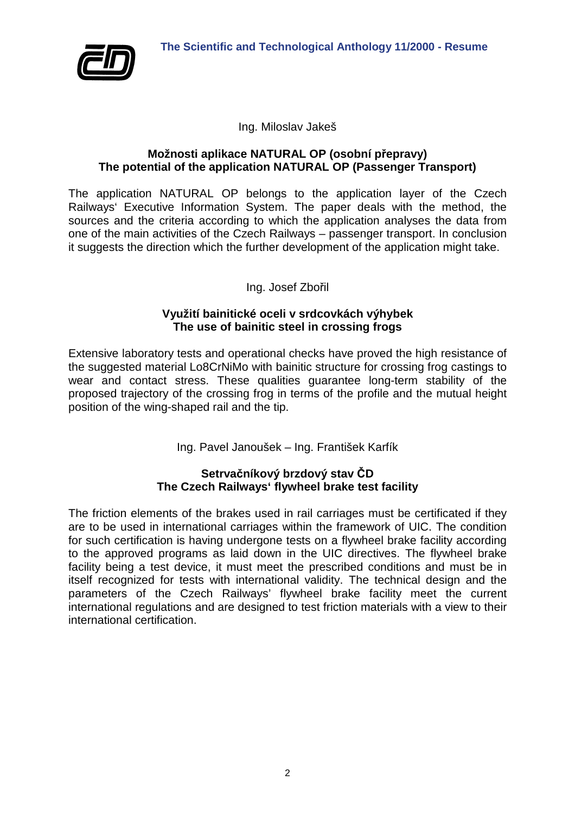

Ing. Miloslav Jakeš

#### **Možnosti aplikace NATURAL OP (osobní přepravy) The potential of the application NATURAL OP (Passenger Transport)**

The application NATURAL OP belongs to the application layer of the Czech Railways' Executive Information System. The paper deals with the method, the sources and the criteria according to which the application analyses the data from one of the main activities of the Czech Railways – passenger transport. In conclusion it suggests the direction which the further development of the application might take.

Ing. Josef Zbořil

# **Využití bainitické oceli v srdcovkách výhybek The use of bainitic steel in crossing frogs**

Extensive laboratory tests and operational checks have proved the high resistance of the suggested material Lo8CrNiMo with bainitic structure for crossing frog castings to wear and contact stress. These qualities guarantee long-term stability of the proposed trajectory of the crossing frog in terms of the profile and the mutual height position of the wing-shaped rail and the tip.

Ing. Pavel Janoušek – Ing. František Karfík

# **Setrvačníkový brzdový stav ČD The Czech Railways' flywheel brake test facility**

The friction elements of the brakes used in rail carriages must be certificated if they are to be used in international carriages within the framework of UIC. The condition for such certification is having undergone tests on a flywheel brake facility according to the approved programs as laid down in the UIC directives. The flywheel brake facility being a test device, it must meet the prescribed conditions and must be in itself recognized for tests with international validity. The technical design and the parameters of the Czech Railways' flywheel brake facility meet the current international regulations and are designed to test friction materials with a view to their international certification.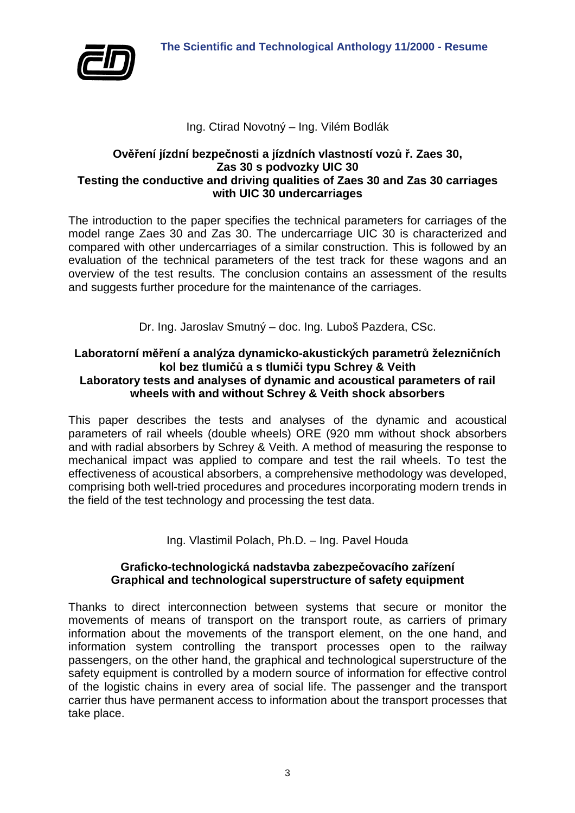

# Ing. Ctirad Novotný – Ing. Vilém Bodlák

## **Ověření jízdní bezpečnosti a jízdních vlastností vozů ř. Zaes 30, Zas 30 s podvozky UIC 30 Testing the conductive and driving qualities of Zaes 30 and Zas 30 carriages with UIC 30 undercarriages**

The introduction to the paper specifies the technical parameters for carriages of the model range Zaes 30 and Zas 30. The undercarriage UIC 30 is characterized and compared with other undercarriages of a similar construction. This is followed by an evaluation of the technical parameters of the test track for these wagons and an overview of the test results. The conclusion contains an assessment of the results and suggests further procedure for the maintenance of the carriages.

Dr. Ing. Jaroslav Smutný – doc. Ing. Luboš Pazdera, CSc.

# **Laboratorní měření a analýza dynamicko-akustických parametrů železničních kol bez tlumičů a s tlumiči typu Schrey & Veith**

## **Laboratory tests and analyses of dynamic and acoustical parameters of rail wheels with and without Schrey & Veith shock absorbers**

This paper describes the tests and analyses of the dynamic and acoustical parameters of rail wheels (double wheels) ORE (920 mm without shock absorbers and with radial absorbers by Schrey & Veith. A method of measuring the response to mechanical impact was applied to compare and test the rail wheels. To test the effectiveness of acoustical absorbers, a comprehensive methodology was developed, comprising both well-tried procedures and procedures incorporating modern trends in the field of the test technology and processing the test data.

Ing. Vlastimil Polach, Ph.D. – Ing. Pavel Houda

## **Graficko-technologická nadstavba zabezpečovacího zařízení Graphical and technological superstructure of safety equipment**

Thanks to direct interconnection between systems that secure or monitor the movements of means of transport on the transport route, as carriers of primary information about the movements of the transport element, on the one hand, and information system controlling the transport processes open to the railway passengers, on the other hand, the graphical and technological superstructure of the safety equipment is controlled by a modern source of information for effective control of the logistic chains in every area of social life. The passenger and the transport carrier thus have permanent access to information about the transport processes that take place.